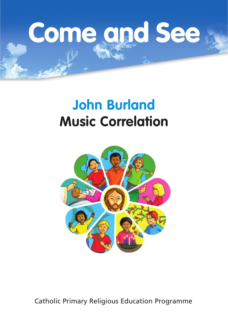# Come and See

# **John Burland Music Correlation**



Catholic Primary Religious Education Programme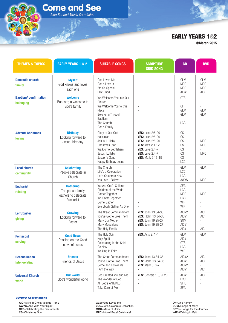# **EARLY YEARS 1&2**

**@March 2015**

| <b>THEMES &amp; TOPICS</b>                     | <b>EARLY YEARS 1 &amp; 2</b>                                               | <b>SUITABLE SONGS</b>                                                                                                                                | <b>SCRIPTURE</b><br><b>GRID SONG</b>                                                                                                                                                                                  | CD                                                    | <b>DVD</b>                                                           |
|------------------------------------------------|----------------------------------------------------------------------------|------------------------------------------------------------------------------------------------------------------------------------------------------|-----------------------------------------------------------------------------------------------------------------------------------------------------------------------------------------------------------------------|-------------------------------------------------------|----------------------------------------------------------------------|
| <b>Domestic church</b><br>family               | <b>Myself</b><br>God knows and loves<br>each one                           | God Loves Me<br>God's Love Is<br>I'm So Special<br>LOVE God                                                                                          |                                                                                                                                                                                                                       | GLM<br><b>MPC</b><br><b>MPC</b><br>AIC#1              | GLM<br><b>MPC</b><br><b>MPC</b><br><b>AIC</b>                        |
| <b>Baptism/confirmation</b><br>belonging       | <b>Welcome</b><br>Baptism; a welcome to<br>God's family                    | We Welcome You into Our<br>Church<br>We Welcome You to this<br>Place<br>Belonging Through<br>Baptism<br>The Church<br>God's Family                   | L.                                                                                                                                                                                                                    | <b>CTS</b><br>0F<br>GLM<br>GLM<br><b>LCC</b>          | ÷,<br>GLM<br><b>GLM</b>                                              |
| <b>Advent/ Christmas</b><br><b>loving</b>      | <b>Birthday</b><br>Looking forward to<br>Jesus' birthday                   | Glory to Our God<br>Halleluiah<br>Jesus' Lullaby<br>Christmas Star<br>Walk onto Bethlehem<br>Jesus' Lullaby<br>Joseph's Song<br>Happy Birthday Jesus | <b>YES:</b> Luke 2:8-20<br><b>YES:</b> Luke 2:8-20<br><b>YES:</b> Luke 2:8-20<br><b>YES: Matt 2:1-12</b><br><b>YES: Luke 2:4-7</b><br><b>YES: Luke 2:4-7</b><br><b>YES: Matt: 2:13-15</b><br>$\overline{\phantom{a}}$ | CS<br>CS<br>CS<br>CS<br>CS<br>CS<br>CS<br>LCC         | ÷.<br><b>MPC</b><br><b>MPC</b><br>$\overline{a}$<br><b>MPC</b><br>÷. |
| <b>Local church</b><br>community               | <b>Celebrating</b><br>People celebrate in<br>Church                        | The Church<br>Life's a Celebration<br>Let's Celebrate Now<br>Yes Lord I Believe                                                                      |                                                                                                                                                                                                                       | GLM<br>LCC<br><b>LCC</b><br>AWYS                      | GLM<br>÷<br><b>MPC</b>                                               |
| <b>Eucharist</b><br>relating                   | <b>Gathering</b><br>The parish family<br>gathers to celebrate<br>Eucharist | We Are God's Children<br>Children of the World<br>Gather Together<br>We Come Together<br>Come Gather<br>Everybody Gather As One                      |                                                                                                                                                                                                                       | <b>SFTJ</b><br>LCC<br><b>MPC</b><br>LCC<br>WIF<br>WIF | <b>MPC</b><br>$\overline{a}$                                         |
| <b>Lent/Easter</b><br>giving                   | <b>Growing</b><br>Looking forward to<br>Easter                             | The Great Commandment<br>You've Got to Love Them<br>Mary Our Mother<br>Mary Magdalene<br>The Holy Family                                             | YES: John 13:34-35<br>YES: John 13:34-35<br>YES: John 19:25-27<br>YES: John 19:25-27                                                                                                                                  | AIC#2<br>AIC#1<br><b>SOM</b><br>AIC#1<br>AIC#1        | <b>AIC</b><br><b>AIC</b><br>L.<br><b>AIC</b>                         |
| <b>Pentecost</b><br>serving                    | <b>Good News</b><br>Passing on the Good<br>news of Jesus                   | The Holy Spirit<br><b>Holy Spirit</b><br>Celebrating in the Spirit<br>Go Now<br>Walking In Faith                                                     | <b>YES:</b> Acts 2: 1-4                                                                                                                                                                                               | <b>GLM</b><br>AIC#1<br><b>CTS</b><br>LCC<br>WIF       | GLM<br>L.                                                            |
| <b>Reconciliation</b><br><b>Inter-relating</b> | <b>Friends</b><br>Friends of Jesus                                         | The Great Commandment<br>You've Got to Love Them<br>Come and Follow Me<br>I Am the Way                                                               | YES: John 13:34-35<br>YES: John 13:34-35<br><b>YES:</b> Mark 6: 6-7<br>$\overline{\phantom{a}}$                                                                                                                       | AIC#2<br>AIC#1<br>AIC#2<br>AIC#1                      | <b>AIC</b><br><b>AIC</b><br>$\overline{\phantom{a}}$<br><b>AIC</b>   |
| <b>Universal Church</b><br>world               | <b>Our world</b><br>God's wonderful world                                  | God Created You and Me<br>The Wonder of God<br>All God's ANIMALS<br>Take Care of Me                                                                  | <b>YES:</b> Genesis 1:3, 9, 20.                                                                                                                                                                                       | AIC#1<br>LCC<br><b>SFTJ</b><br><b>SFTJ</b>            | <b>AIC</b>                                                           |

**Come and See** John Burland Music Correlation

#### **CD/DVD Abbreviations**

**AIC**=Alive in Christ Volume 1 or 2 **AWYS**=And With Your Spirit **CTS**=Celebrating the Sacraments **CS**=Christmas Star

**GLM**=God Loves Me **LCC**=Let's Celebrate Collection **MOU**=Mass of Unity **MPC**=Move! Pray! Celebrate!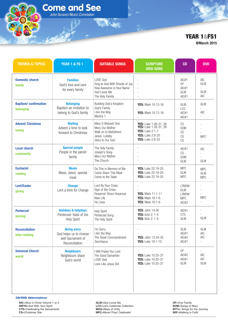## **YEAR 1&FS1 @March 2015**

THEMES & TOPICS **the state of the Suitable Songs the Scripture that CD the DVD GRID SONG Domestic church family Baptism/ confirmation belonging Advent/ Christmas loving Local church community Eucharist relating Lent/Easter giving Pentecost serving Reconciliation Inter-relating Universal Church world Families** God's love and care for every family **Belonging**  Baptism an invitation to belong to God's family **Waiting**  Advent a time to look forward to Christmas **Special people**  People in the parish family **Meals** Mass; Jesus' special meal **Change**  Lent a time for change **Holidays & holydays**  Pentecost: feast of the Holy Spirit **Being sorry** God helps us to choose well Sacrament of Reconciliation **Neighbours**  Neighbours share God's world LOVE God Sing to God With Shouts of Joy How Awesome is Your Name God Loves Me The Holy Family Building God's Kingdom God's Family I Am the Way Mantra 1 Mary O Blessed One Mary Our Mother Walk on to Bethlehem Jesus' Lullaby Glory to Our God The Holy Family Joseph's Song Mary Our Mother The Church Do This in Memory of Me Come Share This Meal Come to the Table Lord By Your Cross Sign of the Cross Hosanna! Shout Hosanna! New Life He Lives Holy Spirit Pentecost Song The Holy Spirit I'm Sorry I Am the Way The Great Commandment Zacchaeus I Will Praise You Lord The Good Samaritan LOVE God Love Like Jesus Did - - - - - **YES:** Mark 10:13-16 - **YES:** Mark 10:13-16 - **YES:** Luke 1:26-31, 38 **YES:** Luke 1:26-31, 38 **YES:** Luke 2:1-7 **YES:** Luke 2:8-20 **YES:** Luke 2:8-20 - - - - **YES:** Luke 22:19-20 **YES:** Luke 22:19-20 **YES:** Luke 22:19-20 - - **YES:** Mark 11:1-11 **YES:** Mark 16:1-6 **YES:** Mark 16:1-6 **YES:** John 14:26 **YES:** Acts 2: 1-4 **YES:** Acts 2: 1-4 - - **YES:** John 13:34-35 **YES:** Luke 19:1-10 - **YES:** Luke 10:25-37 **YES:** Luke 10:25-37 **YES:** Luke 10:25-37 AIC#1 OF AIC#1 GLM AIC#1 GLM LCC AIC#1 AIC#1 CS SOM CS  $CS$  $CS$ AIC#1 CS SOM GLM MPC GLM MPC LTMYW GLM **LTMYW** MPC AIC#2 AIC#1 CTS GLM GLM AIC#1 AIC#2 AIC#1 OF AIC#2 AIC#1 GLM AIC GLM - GLM AIC GLM - AIC - - - - MPC - AIC - - GLM MPC GLM MPC - - - MPC - - - GLM GLM AIC AIC - - AIC AIC GLM

**Come and See** John Burland Music Correlation

**CD/DVD Abbreviations**

**AIC**=Alive in Christ Volume 1 or 2 **AWYS**=And With Your Spirit **CTS**=Celebrating the Sacraments **CS**=Christmas Star

**GLM**=God Loves Me **LCC**=Let's Celebrate Collection **MOU**=Mass of Unity **MPC**=Move! Pray! Celebrate!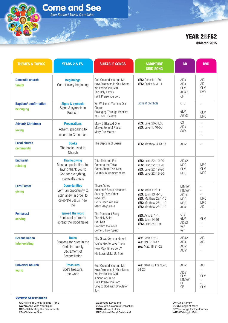## **YEAR 2&FS2 @March 2015**

THEMES & TOPICS **The Mess of Suitable Songs the Scripture that CD the DVD GRID SONG Domestic church family Baptism/ confirmation belonging Advent/ Christmas loving Local church community Eucharist relating Lent/Easter giving Pentecost serving Reconciliation Inter-relating Universal Church world Beginnings**  God at every beginning **Signs & symbols**  Signs & symbols in Baptism **Preparations**  Advent; preparing to celebrate Christmas **Books**  The books used in Church **Thanksgiving**  Mass a special time for saying thank you to God for everything, especially Jesus **Opportunities**  Lent; an opportunity to start anew in order to celebrate Jesus' new life **Spread the word** Pentecost a time to spread the Good News **Rules** Reasons for rules in the Christian family Sacrament of Reconciliation **Treasures**  God's treasure; the world God Created You and Me How Awesome is Your Name We Praise You God The Holy Family I Will Praise You Lord We Welcome You into Our Church Belonging Through Baptism Yes Lord I Believe Mary O Blessed One Mary's Song of Praise Mary Our Mother The Baptism of Jesus Take This and Eat Come to the Table Come Share This Meal Do This in Memory of Me These Ashes Hosanna! Shout Hosanna! Serving Each Other New Life He is Risen Alleluia! Mary Magdalene The Pentecost Song The Holy Spirit He Lives Proclaim the Word Come O Holy Spirit The Great Commandment You've Got to Love Them How May Times Lord? His Laws Make Us free God Created You and Me How Awesome is Your Name We Praise You God A Song of Praise I Will Praise You Lord Sing to God With Shouts of Joy! **YES:** Genesis 1:39 **YES:** Psalm 8: 3-11 Signs & Symbols **YES:** Luke 26-31,38 **YES:** Luke 1: 46-55 **YES:** Matthew 3:13-17 **YES:** Luke 22: 19-20 **YES:** Luke 22: 19-20 **YES:** Luke 22: 19-20 **YES:** Luke 22: 19-20 - **YES:** Mark 11:1-11 **YES:** John 13: 4-15 **YES:** Matthew 28:1-10 **YES:** Matthew 28:1-10 **YES:** Matthew 28:1-10 **YES:** Acts 2: 1-4 **YES:** John 14:26 **YES:** Luke 24: 1-9 - **Yes:** John 15:12 **Yes:** Col 3:10-17 **Yes:** Matt 18:21-22 - **Yes:** Genesis 1:3, 9,20, 24-26 AIC#1 AIC#1 GLM AIC# 1 OF **CTS** GLM AWYS  $CS$ AIC#1 SOM AIC#1 AIC#2 MPC GLM MPC LTMYW LTMYW AIC #1 MPC MPC AIC#1 C<sub>TS</sub> GLM AIC#2 **WIF WIF** AIC#2 AIC#1 AIC#1 AIC#1 AIC#1 - AIC#1 GLM LTMYW OF OF AIC AIC GLM DVD - - GLM MPC - - - - - MPC GLM MPC - - - MPC MPC AIC - GLM - - - AIC AIC - - AIC - - GLM - - GLM

**Come and See** John Burland Music Correlation

**CD/DVD Abbreviations**

**AIC**=Alive in Christ Volume 1 or 2 **AWYS**=And With Your Spirit **CTS**=Celebrating the Sacraments **CS**=Christmas Star

**GLM**=God Loves Me **LCC**=Let's Celebrate Collection **MOU**=Mass of Unity **MPC**=Move! Pray! Celebrate!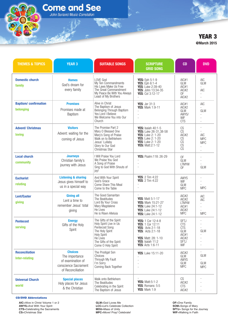**Come and See** John Burland Music Correlation

# **YEAR 3 @March 2015**

| <b>THEMES &amp; TOPICS</b>                     | <b>YEAR 3</b>                                                                                      | <b>SUITABLE SONGS</b>                                                                                                                                                     | <b>SCRIPTURE</b><br><b>GRID SONG</b>                                                                                                                                            | <b>CD</b>                                                                                             | <b>DVD</b>                                                                           |
|------------------------------------------------|----------------------------------------------------------------------------------------------------|---------------------------------------------------------------------------------------------------------------------------------------------------------------------------|---------------------------------------------------------------------------------------------------------------------------------------------------------------------------------|-------------------------------------------------------------------------------------------------------|--------------------------------------------------------------------------------------|
| <b>Domestic church</b><br>family               | <b>Homes</b><br>God's dream for<br>every family                                                    | LOVE God<br>My Ten Commandments<br>His Laws Make Us Free<br>The Great Commandment<br>My Peace Be With You Always<br>Least of My Brothers                                  | <b>YES:</b> Eph 5:1-9<br><b>YES:</b> Eph 6:1-4<br><b>YES:</b> Luke 2:39-40<br>YES: John 13:34-35<br>YES: Col 3:12-17<br>$\overline{\phantom{a}}$                                | AIC#1<br>GLM<br>AIC#1<br>AIC#2<br>0F<br>AIC#2                                                         | AIC<br>GLM<br>$\overline{\phantom{a}}$<br><b>AIC</b><br>$\overline{\phantom{a}}$     |
| <b>Baptism/confirmation</b><br>belonaina       | <b>Promises</b><br>Promises made at<br>Baptism                                                     | Alive in Christ<br>The Baptism of Jesus<br>Belonging Through Baptism<br>Yes Lord I Believe<br>We Welcome You into Our<br>Church                                           | <b>YES: Jer 31:3</b><br><b>YES: Mark 1:9-11</b>                                                                                                                                 | AIC#1<br>AIC#2<br>GLM<br>AWYS/<br>WIF<br><b>CTS</b>                                                   | <b>AIC</b><br>÷<br>GLM<br>$\overline{\phantom{a}}$<br>$\overline{\phantom{a}}$<br>L. |
| <b>Advent/ Christmas</b><br><b>loving</b>      | <b>Visitors</b><br>Advent: waiting for the<br>coming of Jesus                                      | The Promise Part 2<br>Mary O Blessed One<br>Mary's Song of Praise<br>Walk on to Bethlehem<br>Jesus' Lullaby<br>Glory to Our God<br>Christmas Star                         | <b>YES:</b> Isaiah 40:1-5<br>YES: Luke 26-31,38-58<br><b>YES:</b> Luke 2: 1-20<br><b>YES:</b> Luke 2: 1-20<br><b>YES:</b> Luke 2: 1-20<br><b>YES: Matt:2:1-12</b>               | CS<br>$\overline{\text{CS}}$<br>AIC#2<br>CS<br>CS<br>$\overline{\text{CS}}$<br>$\overline{\text{CS}}$ | L.<br><b>AIC</b><br><b>MPC</b><br><b>MPC</b><br>÷,<br>÷,                             |
| <b>Local church</b><br>community               | <b>Journeys</b><br>Christian family's<br>journey with Jesus                                        | I Will Praise You Lord<br>We Praise You God<br>A Song of Praise<br>Sing to God With Shouts of<br>joy!                                                                     | <b>YES: Psalm:118: 26-29</b>                                                                                                                                                    | 0F<br>GLM<br><b>LTMYW</b><br>0F                                                                       | $\overline{a}$<br>GLM                                                                |
| <b>Eucharist</b><br>relating                   | <b>Listening &amp; sharing</b><br>Jesus gives himself to<br>us in a special way                    | And With Your Spirit<br>God's Grace<br>Come Share This Meal<br>Come to the Table                                                                                          | <b>YES:</b> 2 Tim 4:22<br><b>YES:</b> 2 Tim 4:22                                                                                                                                | <b>AWYS</b><br>WIF<br><b>GLM</b><br><b>MPC</b>                                                        | $\overline{\phantom{a}}$<br><b>MPC</b>                                               |
| <b>Lent/Easter</b><br>giving                   | <b>Giving all</b><br>Lent a time to<br>remember Jesus' total<br>giving                             | The Good Samaritan<br>The Beatitudes<br>Lord By Your Cross<br>Mary Magdalene<br>He Lives<br>He is Risen Alleluia                                                          | <b>YES: Matt 5:1-17</b><br><b>YES: Mark 15:21-27</b><br><b>YES:</b> Luke 24:1-12<br><b>YES:</b> Luke 24:1-12<br><b>YES:</b> Luke 24:1-12                                        | AIC#2<br>AIC#2<br><b>LTMYW</b><br>AIC#1<br>AIC#2<br><b>MPC</b>                                        | <b>AIC</b><br><b>AIC</b><br><b>MPC</b>                                               |
| <b>Pentecost</b><br>serving                    | <b>Energy</b><br>Gifts of the Holy<br>Spirit                                                       | The Gifts of the Spirit<br>Holy Spirit Live in Us<br>Pentecost Song<br>The Holy Spirit<br><b>Holy Spirit</b><br>He Lives<br>The Gifts of the Spirit<br>Come O Holy Spirit | YES: 1 Cor 12:4-8<br><b>YES: 1 Cor 12:11</b><br><b>YES:</b> Acts 2:1-18<br><b>YES: Acts 2:1-18</b><br><b>YES: Matt: 28: 1-10</b><br>YES: Isaiah 11:2<br><b>YES: Acts 1:6-11</b> | <b>SFTJ</b><br><b>CTS</b><br><b>CTS</b><br>GLM<br>AIC#1<br>AIC#2<br><b>SFTJ</b><br>WIF                | GLM                                                                                  |
| <b>Reconciliation</b><br><b>Inter-relating</b> | <b>Choices</b><br>The importance<br>of examination of<br>conscience Sacrament<br>of Reconciliation | The Prodigal Son<br>Choices<br>Through My Fault<br>I'm Sorry<br>Coming Back Together                                                                                      | <b>YES:</b> Luke 15:11-20                                                                                                                                                       | AIC#2<br>GLM<br><b>AWYS</b><br><b>GLM</b><br><b>MPC</b>                                               | GLM<br><b>GLM</b><br><b>MPC</b>                                                      |
| <b>Universal Church</b><br>world               | <b>Special places</b><br>Holy places for Jesus<br>& the Christian                                  | Walk onto Bethlehem<br>The Beatitudes<br>Celebrating in the Spirit<br>The Baptism of Jesus                                                                                | <b>YES: Matt:5:1-2</b><br>YES: Romans: 5:5<br><b>YES: Mark 1:9</b>                                                                                                              | CS<br>AIC#2<br><b>CTS</b><br>AIC#2                                                                    |                                                                                      |

#### **CD/DVD Abbreviations**

**AIC**=Alive in Christ Volume 1 or 2 **AWYS**=And With Your Spirit **CTS**=Celebrating the Sacraments **CS**=Christmas Star

**GLM**=God Loves Me **LCC**=Let's Celebrate Collection **MOU**=Mass of Unity **MPC**=Move! Pray! Celebrate!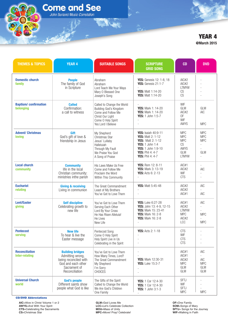**Come and See** John Burland Music Correlation

# **YEAR 4 @March 2015**

| <b>THEMES &amp; TOPICS</b>                     | <b>YEAR 4</b>                                                                                                                | <b>SUITABLE SONGS</b>                                                                                                                      | <b>SCRIPTURE</b><br><b>GRID SONG</b>                                                                                                                                                     | CD                                                                                 | <b>DVD</b>                                                                      |
|------------------------------------------------|------------------------------------------------------------------------------------------------------------------------------|--------------------------------------------------------------------------------------------------------------------------------------------|------------------------------------------------------------------------------------------------------------------------------------------------------------------------------------------|------------------------------------------------------------------------------------|---------------------------------------------------------------------------------|
| <b>Domestic church</b><br>family               | <b>People</b><br>The family of God<br>in Scripture                                                                           | Abraham<br>Abraham<br>Lord Teach Me Your Ways<br>Mary O Blessed One<br>Joseph's Song                                                       | YES: Genesis 12: 1-8, 18<br>YES: Genesis 21:1-7<br>YES: Matt 1:14-20<br><b>YES: Matt 1:14-20</b>                                                                                         | AIC#2<br>AIC#2<br><b>LTMYW</b><br>CS<br>CS                                         |                                                                                 |
| <b>Baptism/confirmation</b><br>belonging       | <b>Called</b><br>Confirmation:<br>a call to witness                                                                          | Called to Change the World<br>Building God's Kingdom<br>Come and Follow Me<br>Christ Our Light<br>Come O Holy Spirit<br>Yes Lord I Believe | <b>YES:</b> Mark 1: 14-20<br><b>YES:</b> Mark 1: 14-20<br>YES: 1 John 1:5-7                                                                                                              | WIF<br>GLM<br>AIC#2<br>0F<br>WIF<br>AWYS                                           | GLM<br><b>AIC</b><br><b>MPC</b>                                                 |
| <b>Advent/ Christmas</b><br><b>loving</b>      | Gift<br>God's gift of love &<br>friendship in Jesus                                                                          | My Shepherd<br>Christmas Star<br>Jesus' Lullaby<br>Halleluiah<br>Through My Fault<br>We Praise You God<br>A Song of Praise                 | <b>YES:</b> Isaiah 40:9-11<br><b>YES: Matt 2: 1-12</b><br><b>YES:</b> Matt 2: 1-12<br><b>YES:</b> 1 John 1:4<br>YES: 1 John 1:9-10<br><b>YES: Phil 4: 4-7</b><br><b>YES: Phil 4: 4-7</b> | <b>MPC</b><br><b>MPC</b><br><b>MPC</b><br>CS<br>AWYS<br><b>GLM</b><br><b>LTMYW</b> | <b>MPC</b><br><b>MPC</b><br><b>MPC</b><br>L.<br>GLM<br>$\overline{\phantom{a}}$ |
| <b>Local church</b><br>community               | <b>Community</b><br>life in the local<br>Christian community:<br>ministries inthe parish                                     | His Laws Make Us Free<br>Come and Follow Me<br>Proclaim the Word<br>Within This Community                                                  | YES: Rom 12: 8-11<br>YES: Mark 3: 13-19<br><b>YES:</b> Acts 6: 2-13<br>$\overline{\phantom{a}}$                                                                                          | AIC#1<br>AIC#2<br>WIF<br><b>CTS</b>                                                | $\frac{1}{2}$<br><b>AIC</b><br>L.                                               |
| <b>Eucharist</b><br>relating                   | <b>Giving &amp; receiving</b><br>Living in communion                                                                         | The Great Commandment<br>Least of My Brothers<br>You've Got to Love Them                                                                   | <b>YES: Matt 5:45-48</b>                                                                                                                                                                 | AIC#2<br>AIC#2<br>AIC#1                                                            | <b>AIC</b><br><b>AIC</b>                                                        |
| <b>Lent/Easter</b><br>giving                   | <b>Self discipline</b><br>Celebrating growth to<br>new life                                                                  | You've Got to Love Them<br>Serving Each Other<br>Lord By Your Cross<br>He Has Risen Alleluia!<br>He Lives<br>New Life                      | YES: Luke 6:27-28<br>YES: John 13: 4-9, 12-15<br>YES: Mark 15: 23-41<br><b>YES:</b> Mark 16: 2-8<br><b>YES: Mark 16: 2-8</b>                                                             | AIC#1<br>AIC#2<br><b>LTMYW</b><br><b>MPC</b><br>AIC#2<br>LCC                       | <b>AIC</b><br>$\overline{\phantom{a}}$<br>٠<br><b>MPC</b><br><b>MPC</b>         |
| <b>Pentecost</b><br>serving                    | <b>New life</b><br>To hear & live the<br>Easter message                                                                      | Pentecost Song<br>Come O Holy Spirit<br>Holy Spirit Live in Us<br>Celebrating in the Spirit                                                | <b>YES:</b> Acts 2: 1-18                                                                                                                                                                 | <b>CTS</b><br>WIF<br><b>CTS</b><br><b>CTS</b>                                      |                                                                                 |
| <b>Reconciliation</b><br><b>Inter-relating</b> | <b>Building bridges</b><br>Admitting wrong,<br>being reconciled with<br>God and each other<br>Sacrament of<br>Reconciliation | You've Got to Love Them<br>How Many Times, Lord?<br>The Great Commandment<br>My Shepherd<br>I'm Sorry<br><b>CHOICES</b>                    | YES: Mark 12:30-31<br><b>YES:</b> Luke 15:3-7                                                                                                                                            | AIC#1<br>AIC#1<br>AIC#2<br><b>MPC</b><br>GLM<br>GLM                                | <b>AIC</b><br>$\sim$<br><b>AIC</b><br><b>MPC</b><br>GLM<br>GLM                  |
| <b>Universal Church</b><br>world               | <b>God's people</b><br>Different saints show<br>people what God is like                                                      | The Gifts of the Spirit<br>Called to Change the World<br>We Are God's Children<br>One Family                                               | YES: 1 Cor 12:4-30<br>YES: 1 Cor 12:4-30<br>YES: 1 John 3:1-3                                                                                                                            | SFTJ<br>WIF<br><b>SFTJ</b><br><b>MPC</b>                                           | <b>MPC</b>                                                                      |

#### **CD/DVD Abbreviations**

**AIC**=Alive in Christ Volume 1 or 2 **AWYS**=And With Your Spirit **CTS**=Celebrating the Sacraments **CS**=Christmas Star

**GLM**=God Loves Me **LCC**=Let's Celebrate Collection **MOU**=Mass of Unity **MPC**=Move! Pray! Celebrate!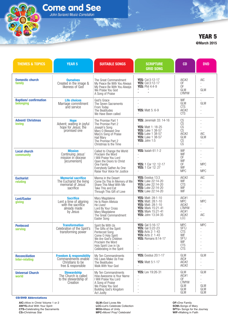**Come and See** John Burland Music Correlation

# **YEAR 5 @March 2015**

| <b>THEMES &amp; TOPICS</b>                     | <b>YEAR 5</b>                                                                                        | <b>SUITABLE SONGS</b>                                                                                                                                                                     | <b>SCRIPTURE</b><br><b>GRID SONG</b>                                                                                                                           | CD                                                                                               | <b>DVD</b>                                                                     |
|------------------------------------------------|------------------------------------------------------------------------------------------------------|-------------------------------------------------------------------------------------------------------------------------------------------------------------------------------------------|----------------------------------------------------------------------------------------------------------------------------------------------------------------|--------------------------------------------------------------------------------------------------|--------------------------------------------------------------------------------|
| <b>Domestic church</b><br>family               | <b>Ourselves</b><br>Created in the image &<br>likeness of God                                        | The Great Commandment<br>My Peace Be With You Always<br>My Peace Be With You Always<br>We Praise You God<br>A Song of Praise                                                              | YES: Col:3:12-17<br>YES: Col:3:12-17<br><b>YES: Phil 4:4-9</b><br>$\alpha$<br>$\alpha$                                                                         | AIC#2<br>0F<br>0F<br>GLM<br><b>LYMYW</b>                                                         | <b>AIC</b><br>$\sim$<br>$\sim$<br>GLM<br>÷                                     |
| <b>Baptism/confirmation</b><br>belonging       | <b>Life choices</b><br>Marriage commitment<br>and service                                            | God's Grace<br>The Seven Sacraments<br>From Today<br>The Beatitudes<br>We Have Been called                                                                                                | J.<br><b>YES:</b> Matt 5: 6-9                                                                                                                                  | WIF<br><b>GLM</b><br><b>CTS</b><br>AIC#2<br><b>CTS</b>                                           | GLM<br>$\overline{\phantom{a}}$                                                |
| <b>Advent/ Christmas</b><br><b>loving</b>      | <b>Hope</b><br>Advent; waiting in joyful<br>hope for Jesus; the<br>promised one                      | The Promise Part 1<br>The Promise Part 2<br>Joseph's Song<br>Mary O Blessed One<br>Mary's Song of Praise<br>Hail Mary<br>The Promise Part 2<br>Christmas Is the Time                      | <b>YES:</b> Jeremiah 33: 14-16<br><b>YES: Matt 1: 18-25</b><br><b>YES:</b> Luke 1 38-57<br>YES: Luke 1 38-57<br><b>YES:</b> Luke 1 38-57<br>YES: John 1:5<br>÷ | $\frac{CS}{CS}$<br>CS<br>CS<br>AIC#2<br>GLM<br>CS<br><b>CS</b>                                   | L.<br>$\sim$<br><b>AIC</b><br>GLM<br>$\overline{\phantom{a}}$<br>L.            |
| <b>Local church</b><br>community               | <b>Mission</b><br>Continuing Jesus'<br>mission in diocese<br>[ecumenism]                             | Called to Change the World<br>Proclaim the Word<br>I Will Praise You Lord<br>Open the Doors to Christ<br>One Family<br>Everybody Gather As One<br>Raise Your Voice for Justice            | <b>YES:</b> Isaiah 61:1-2<br>YES: 1 Cor 12: 12-17<br><b>YES:</b> 1 Cor 12: 27                                                                                  | WIF<br>WIF<br>0F<br>WIF<br>0F<br>WIF<br><b>MPC</b>                                               | L,<br>÷<br><b>MPC</b><br><b>MPC</b>                                            |
| <b>Eucharist</b><br>relating                   | <b>Memorial sacrifice</b><br>The Eucharist the living<br>memorial of Jesus'<br>sacrifice             | Manna in the Desert<br>Come Do This In Memory of Me<br>Share This Meal With Me<br>Take This and Eat<br>Through This Gift of Love                                                          | YES: Exodus 13:3<br><b>YES:</b> Luke 22:14-20<br><b>YES: Luke 22:14-20</b><br><b>YES:</b> Luke 22:14-20<br><b>YES: Luke 22:14-20</b>                           | AIC#2<br>WIF<br><b>CTS</b><br>WIF<br>WIF                                                         | <b>AIC</b><br>$\overline{\phantom{a}}$<br>÷<br>$\overline{\phantom{a}}$<br>L.  |
| <b>Lent/Easter</b><br>qiving                   | <b>Sacrifice</b><br>Lent a time of aligning<br>with the sacrifice<br>already made<br>by Jesus        | Mary Magdalene<br>He Is Risen Alleluia<br>He Lives!<br>Lord By Your Cross<br>Mary Magdalene<br>The Great Commandment<br>Easter Song                                                       | YES: Matt: 28:1-10<br><b>YES: Matt: 28:1-10</b><br><b>YES: Matt: 28:1-10</b><br><b>YES:</b> Mark 15:21-41<br><b>YES:</b> Mark 15:21-41<br>YES: John 13:34-35   | AIC#1<br><b>MPC</b><br>AIC#2<br><b>LTMYW</b><br>AIC#1<br>AIC#2<br><b>LCC</b>                     | <b>MPC</b><br>$\sim$<br>$\sim$<br><b>AIC</b><br>L.                             |
| <b>Pentecost</b><br>serving                    | <b>Transformation</b><br>Celebration of the Spirit's<br>transforming power                           | Spirit Be With Us<br>The Gifts of the Spirit<br>Pentecost Song<br>Come O Holy Spirit<br>We Are God's Children<br>Proclaim the Word<br>Holy Spirit Live in Us<br>Celebrating in the Spirit | YES: Gal 5:16-17<br>YES: Gal 5:22-23<br><b>YES:</b> Acts 2: 1-43<br><b>YES:</b> Acts 2: 1-43<br><b>YES:</b> Romans 8:14-17                                     | <b>MPC</b><br><b>SFTJ</b><br><b>CTS</b><br>WIF<br><b>SFTJ</b><br>WIF<br><b>CTS</b><br><b>CTS</b> | <b>MPC</b><br>$\overline{\phantom{a}}$                                         |
| <b>Reconciliation</b><br><b>Inter-relating</b> | <b>Freedom &amp; responsibility</b><br>Commandments enable<br>Christians to be<br>free & responsible | My Ten Commandments<br>His Laws Make Us Free<br>The Beatitudes<br>Walk With Your God                                                                                                      | <b>YES:</b> Exodus 20:1-17<br><b>YES:</b> Matt 5:1-17                                                                                                          | GLM<br>AIC#<br>AIC#2<br>AIC#2                                                                    | <b>GLM</b>                                                                     |
| <b>Universal Church</b><br>world               | <b>Stewardship</b><br>The Church is called<br>to the stewardship of<br>Creation                      | My Ten Commandments<br>How Awesome is Your Name<br>I Will Praise You Lord<br>A Song of Praise<br>We Praise You God<br>Building God's Kingdom<br>Act Justly                                | <b>YES: Lev 19:26-31</b><br>÷,                                                                                                                                 | GLM<br>AIC#1<br>0F<br><b>LTMYW</b><br><b>GLM</b><br>GLM<br>GLM                                   | <b>GLM</b><br>÷<br>$\overline{\phantom{a}}$<br><b>GLM</b><br><b>GLM</b><br>GLM |

#### **CD/DVD Abbreviations**

**AIC**=Alive in Christ Volume 1 or 2 **AWYS**=And With Your Spirit **CTS**=Celebrating the Sacraments **CS**=Christmas Star

**GLM**=God Loves Me **LCC**=Let's Celebrate Collection **MOU**=Mass of Unity **MPC**=Move! Pray! Celebrate!